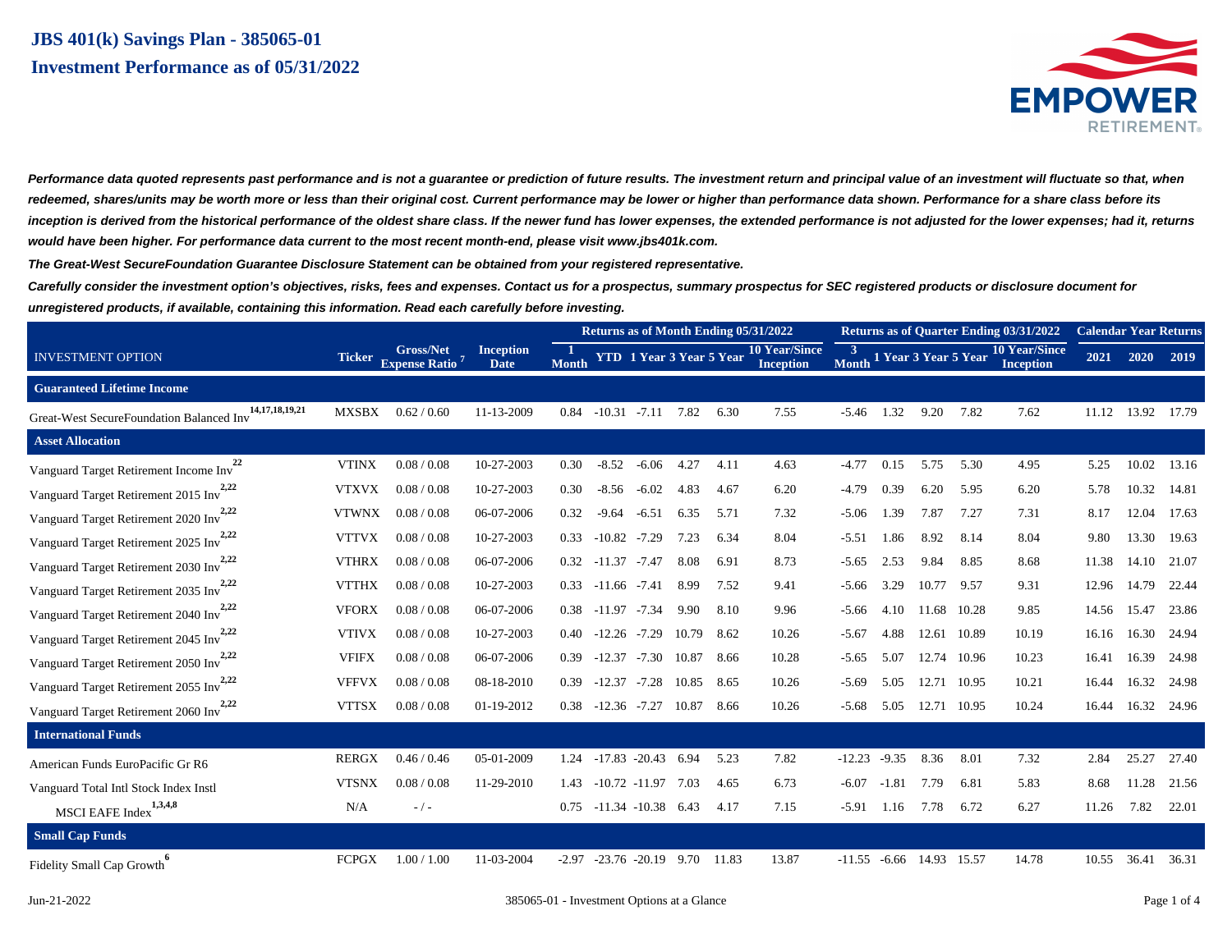# **JBS 401(k) Savings Plan - 385065-01 Investment Performance as of 05/31/2022**



Performance data quoted represents past performance and is not a guarantee or prediction of future results. The investment return and principal value of an investment will fluctuate so that, when **redeemed, shares/units may be worth more or less than their original cost. Current performance may be lower or higher than performance data shown. Performance for a share class before its inception is derived from the historical performance of the oldest share class. If the newer fund has lower expenses, the extended performance is not adjusted for the lower expenses; had it, returns would have been higher. For performance data current to the most recent month-end, please visit www.jbs401k.com.**

**The Great-West SecureFoundation Guarantee Disclosure Statement can be obtained from your registered representative.**

**Carefully consider the investment option's objectives, risks, fees and expenses. Contact us for a prospectus, summary prospectus for SEC registered products or disclosure document for unregistered products, if available, containing this information. Read each carefully before investing.**

|                                                                |               |                                                      |                          | Returns as of Month Ending 05/31/2022 |                  |                                 |       |       |                                   |                    | <b>Returns as of Quarter Ending 03/31/2022</b> |                      |       | <b>Calendar Year Returns</b>             |       |       |       |
|----------------------------------------------------------------|---------------|------------------------------------------------------|--------------------------|---------------------------------------|------------------|---------------------------------|-------|-------|-----------------------------------|--------------------|------------------------------------------------|----------------------|-------|------------------------------------------|-------|-------|-------|
| <b>INVESTMENT OPTION</b>                                       | <b>Ticker</b> | <b>Gross/Net</b><br><b>Expense Ratio<sup>7</sup></b> | <b>Inception</b><br>Date | -1<br><b>Month</b>                    |                  | <b>YTD</b> 1 Year 3 Year 5 Year |       |       | <b>10 Year/Since</b><br>Inception | -3<br><b>Month</b> |                                                | 1 Year 3 Year 5 Year |       | <b>10 Year/Since</b><br><b>Inception</b> | 2021  | 2020  | 2019  |
| <b>Guaranteed Lifetime Income</b>                              |               |                                                      |                          |                                       |                  |                                 |       |       |                                   |                    |                                                |                      |       |                                          |       |       |       |
| 14, 17, 18, 19, 21<br>Great-West SecureFoundation Balanced Inv | <b>MXSBX</b>  | 0.62 / 0.60                                          | 11-13-2009               | 0.84                                  | $-10.31 - 7.11$  |                                 | 7.82  | 6.30  | 7.55                              | $-5.46$            | 1.32                                           | 9.20                 | 7.82  | 7.62                                     | 11.12 | 13.92 | 17.79 |
| <b>Asset Allocation</b>                                        |               |                                                      |                          |                                       |                  |                                 |       |       |                                   |                    |                                                |                      |       |                                          |       |       |       |
| 22<br>Vanguard Target Retirement Income Inv                    | <b>VTINX</b>  | 0.08 / 0.08                                          | 10-27-2003               | 0.30                                  | $-8.52$          | $-6.06$                         | 4.27  | 4.11  | 4.63                              | $-4.77$            | 0.15                                           | 5.75                 | 5.30  | 4.95                                     | 5.25  | 10.02 | 13.16 |
| Vanguard Target Retirement 2015 Inv <sup>2,22</sup>            | <b>VTXVX</b>  | 0.08 / 0.08                                          | 10-27-2003               | 0.30                                  | $-8.56$          | $-6.02$                         | 4.83  | 4.67  | 6.20                              | $-4.79$            | 0.39                                           | 6.20                 | 5.95  | 6.20                                     | 5.78  | 10.32 | 14.81 |
| Vanguard Target Retirement 2020 Inv <sup>2,22</sup>            | <b>VTWNX</b>  | 0.08 / 0.08                                          | 06-07-2006               | 0.32                                  | $-9.64$          | $-6.51$                         | 6.35  | 5.71  | 7.32                              | $-5.06$            | 1.39                                           | 7.87                 | 7.27  | 7.31                                     | 8.17  | 12.04 | 17.63 |
| Vanguard Target Retirement 2025 Inv <sup>2,22</sup>            | <b>VTTVX</b>  | 0.08 / 0.08                                          | 10-27-2003               | 0.33                                  | $-10.82$         | $-7.29$                         | 7.23  | 6.34  | 8.04                              | $-5.51$            | 1.86                                           | 8.92                 | 8.14  | 8.04                                     | 9.80  | 13.30 | 19.63 |
| Vanguard Target Retirement 2030 Inv <sup>2,22</sup>            | <b>VTHRX</b>  | 0.08 / 0.08                                          | 06-07-2006               | 0.32                                  | $-11.37 - 7.47$  |                                 | 8.08  | 6.91  | 8.73                              | $-5.65$            | 2.53                                           | 9.84                 | 8.85  | 8.68                                     | 11.38 | 14.10 | 21.07 |
| Vanguard Target Retirement 2035 Inv <sup>2,22</sup>            | <b>VTTHX</b>  | 0.08 / 0.08                                          | 10-27-2003               | 0.33                                  | $-11.66$ $-7.41$ |                                 | 8.99  | 7.52  | 9.41                              | $-5.66$            | 3.29                                           | 10.77                | 9.57  | 9.31                                     | 12.96 | 14.79 | 22.44 |
| Vanguard Target Retirement 2040 Inv <sup>2,22</sup>            | <b>VFORX</b>  | 0.08 / 0.08                                          | 06-07-2006               | 0.38                                  | $-11.97$         | $-7.34$                         | 9.90  | 8.10  | 9.96                              | $-5.66$            | 4.10                                           | 11.68                | 10.28 | 9.85                                     | 14.56 | 15.47 | 23.86 |
| Vanguard Target Retirement 2045 Inv <sup>2,22</sup>            | <b>VTIVX</b>  | 0.08 / 0.08                                          | 10-27-2003               | 0.40                                  | $-12.26 - 7.29$  |                                 | 10.79 | 8.62  | 10.26                             | $-5.67$            | 4.88                                           | 12.61                | 10.89 | 10.19                                    | 16.16 | 16.30 | 24.94 |
| Vanguard Target Retirement 2050 Inv <sup>2,22</sup>            | <b>VFIFX</b>  | 0.08 / 0.08                                          | 06-07-2006               | 0.39                                  | $-12.37 - 7.30$  |                                 | 10.87 | 8.66  | 10.28                             | $-5.65$            | 5.07                                           | 12.74                | 10.96 | 10.23                                    | 16.41 | 16.39 | 24.98 |
| Vanguard Target Retirement 2055 Inv <sup>2,22</sup>            | <b>VFFVX</b>  | 0.08 / 0.08                                          | 08-18-2010               | 0.39                                  | $-12.37$         | $-7.28$                         | 10.85 | 8.65  | 10.26                             | $-5.69$            | 5.05                                           | 12.71                | 10.95 | 10.21                                    | 16.44 | 16.32 | 24.98 |
| Vanguard Target Retirement 2060 Inv <sup>2,22</sup>            | <b>VTTSX</b>  | 0.08 / 0.08                                          | 01-19-2012               | 0.38                                  | $-12.36$ $-7.27$ |                                 | 10.87 | 8.66  | 10.26                             | $-5.68$            | 5.05                                           | 12.71                | 10.95 | 10.24                                    | 16.44 | 16.32 | 24.96 |
| <b>International Funds</b>                                     |               |                                                      |                          |                                       |                  |                                 |       |       |                                   |                    |                                                |                      |       |                                          |       |       |       |
| American Funds EuroPacific Gr R6                               | <b>RERGX</b>  | 0.46 / 0.46                                          | 05-01-2009               | 1.24                                  |                  | $-17.83 - 20.43$ 6.94           |       | 5.23  | 7.82                              | $-12.23$           | $-9.35$                                        | 8.36                 | 8.01  | 7.32                                     | 2.84  | 25.27 | 27.40 |
| Vanguard Total Intl Stock Index Instl                          | <b>VTSNX</b>  | 0.08 / 0.08                                          | 11-29-2010               | 1.43                                  |                  | $-10.72$ $-11.97$               | 7.03  | 4.65  | 6.73                              | $-6.07$            | $-1.81$                                        | 7.79                 | 6.81  | 5.83                                     | 8.68  | 11.28 | 21.56 |
| MSCI EAFE Index <sup>1,3,4,8</sup>                             | N/A           | $-/-$                                                |                          | 0.75                                  |                  | $-11.34 - 10.38$                | 6.43  | 4.17  | 7.15                              | $-5.91$            | 1.16                                           | 7.78                 | 6.72  | 6.27                                     | 11.26 | 7.82  | 22.01 |
| <b>Small Cap Funds</b>                                         |               |                                                      |                          |                                       |                  |                                 |       |       |                                   |                    |                                                |                      |       |                                          |       |       |       |
| Fidelity Small Cap Growth                                      | <b>FCPGX</b>  | 1.00 / 1.00                                          | 11-03-2004               | $-2.97$                               |                  | $-23.76 - 20.19$                | 9.70  | 11.83 | 13.87                             | $-11.55$           | $-6.66$                                        | 14.93                | 15.57 | 14.78                                    | 10.55 | 36.41 | 36.31 |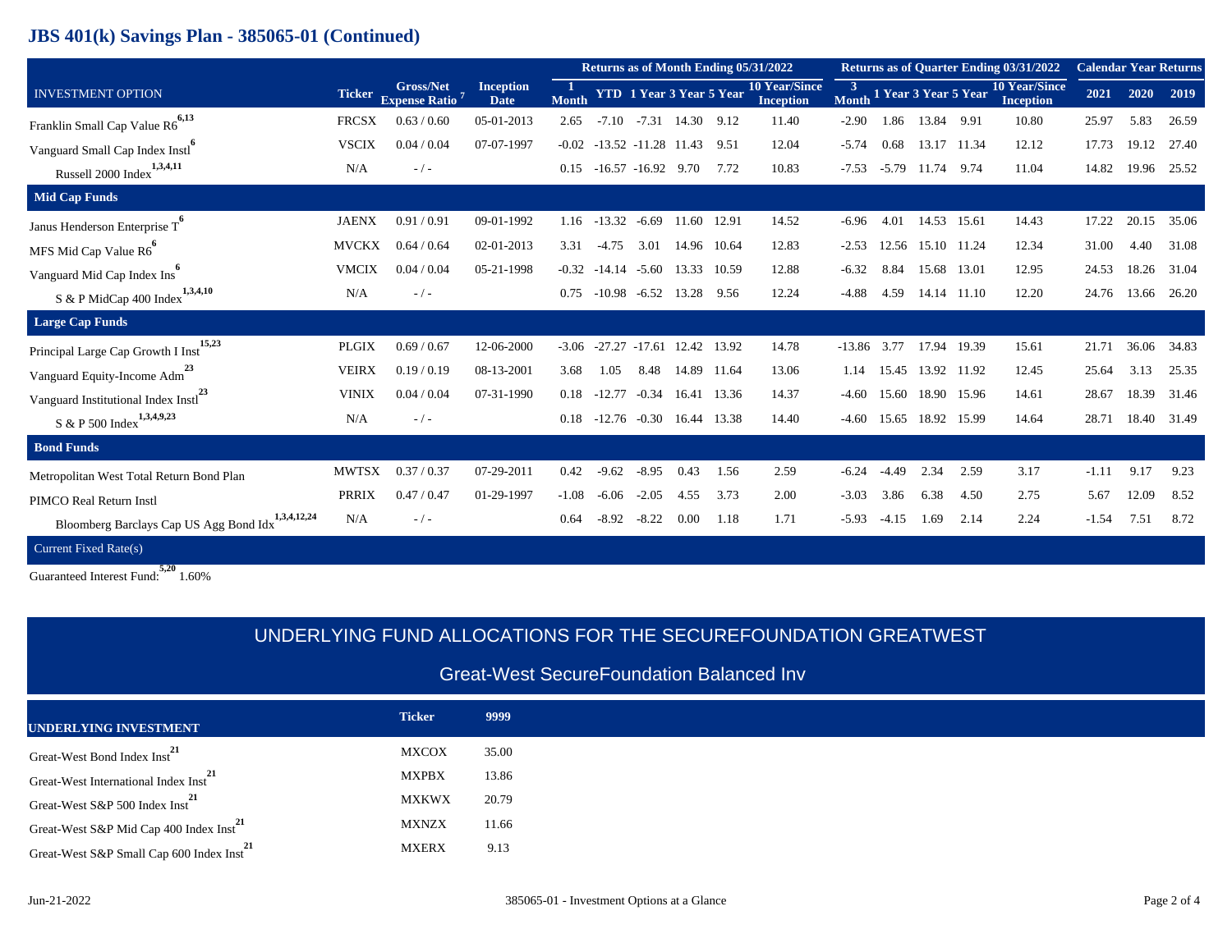## **JBS 401(k) Savings Plan - 385065-01 (Continued)**

|                                                               |               |                                                      |                                 | Returns as of Month Ending 05/31/2022 |          |                                   |             |             |                                          |                         | <b>Returns as of Quarter Ending 03/31/2022</b> | <b>Calendar Year Returns</b> |       |                                          |         |       |       |
|---------------------------------------------------------------|---------------|------------------------------------------------------|---------------------------------|---------------------------------------|----------|-----------------------------------|-------------|-------------|------------------------------------------|-------------------------|------------------------------------------------|------------------------------|-------|------------------------------------------|---------|-------|-------|
| <b>INVESTMENT OPTION</b>                                      | <b>Ticker</b> | <b>Gross/Net</b><br><b>Expense Ratio<sup>7</sup></b> | <b>Inception</b><br><b>Date</b> | $\blacksquare$<br><b>Month</b>        |          | <b>YTD</b> 1 Year 3 Year 5 Year   |             |             | <b>10 Year/Since</b><br><b>Inception</b> | $\overline{3}$<br>Month |                                                | 1 Year 3 Year 5 Year         |       | <b>10 Year/Since</b><br><b>Inception</b> | 2021    | 2020  | 2019  |
| Franklin Small Cap Value R6 <sup>6,13</sup>                   | <b>FRCSX</b>  | 0.63/0.60                                            | 05-01-2013                      | 2.65                                  | $-7.10$  | $-7.31$                           | 14.30 9.12  |             | 11.40                                    | $-2.90$                 | 1.86                                           | 13.84                        | 9.91  | 10.80                                    | 25.97   | 5.83  | 26.59 |
| Vanguard Small Cap Index Instl <sup>o</sup>                   | <b>VSCIX</b>  | 0.04 / 0.04                                          | 07-07-1997                      |                                       |          | $-0.02$ $-13.52$ $-11.28$ $11.43$ |             | 9.51        | 12.04                                    | $-5.74$                 | 0.68                                           | 13.17 11.34                  |       | 12.12                                    | 17.73   | 19.12 | 27.40 |
| Russell 2000 Index $1,3,4,11$                                 | N/A           | $-/-$                                                |                                 | 0.15                                  |          | $-16.57$ $-16.92$ 9.70            |             | 7.72        | 10.83                                    | $-7.53$                 | $-5.79$                                        | 11.74                        | 9.74  | 11.04                                    | 14.82   | 19.96 | 25.52 |
| <b>Mid Cap Funds</b>                                          |               |                                                      |                                 |                                       |          |                                   |             |             |                                          |                         |                                                |                              |       |                                          |         |       |       |
| Janus Henderson Enterprise $T^6$                              | <b>JAENX</b>  | 0.91/0.91                                            | 09-01-1992                      | 1.16                                  | $-13.32$ | $-6.69$                           | 11.60       | 12.91       | 14.52                                    | $-6.96$                 | 4.01                                           | 14.53                        | 15.61 | 14.43                                    | 17.22   | 20.15 | 35.06 |
| MFS Mid Cap Value R6 <sup>°</sup>                             | <b>MVCKX</b>  | 0.64 / 0.64                                          | 02-01-2013                      | 3.31                                  | $-4.75$  | 3.01                              |             | 14.96 10.64 | 12.83                                    | $-2.53$                 |                                                | 12.56 15.10 11.24            |       | 12.34                                    | 31.00   | 4.40  | 31.08 |
| Vanguard Mid Cap Index Ins                                    | <b>VMCIX</b>  | 0.04 / 0.04                                          | 05-21-1998                      | $-0.32$                               | $-14.14$ | $-5.60$                           | 13.33       | 10.59       | 12.88                                    | $-6.32$                 | 8.84                                           | 15.68                        | 13.01 | 12.95                                    | 24.53   | 18.26 | 31.04 |
| $S$ & P MidCap 400 Index $1,3,4,10$                           | N/A           | $-/-$                                                |                                 | 0.75                                  | $-10.98$ | $-6.52$                           | 13.28 9.56  |             | 12.24                                    | $-4.88$                 | 4.59                                           | 14.14                        | 11.10 | 12.20                                    | 24.76   | 13.66 | 26.20 |
| <b>Large Cap Funds</b>                                        |               |                                                      |                                 |                                       |          |                                   |             |             |                                          |                         |                                                |                              |       |                                          |         |       |       |
| 15,23<br>Principal Large Cap Growth I Inst                    | <b>PLGIX</b>  | 0.69 / 0.67                                          | 12-06-2000                      | $-3.06$                               |          | $-27.27 -17.61$                   | 12.42 13.92 |             | 14.78                                    | $-13.86$                | 3.77                                           | 17.94                        | 19.39 | 15.61                                    | 21.71   | 36.06 | 34.83 |
| Vanguard Equity-Income Adm <sup>23</sup>                      | <b>VEIRX</b>  | 0.19/0.19                                            | 08-13-2001                      | 3.68                                  | 1.05     | 8.48                              |             | 14.89 11.64 | 13.06                                    | 1.14                    | 15.45                                          | 13.92                        | 11.92 | 12.45                                    | 25.64   | 3.13  | 25.35 |
| Vanguard Institutional Index Instl <sup>23</sup>              | <b>VINIX</b>  | 0.04 / 0.04                                          | 07-31-1990                      | 0.18                                  | $-12.77$ | $-0.34$                           |             | 16.41 13.36 | 14.37                                    | $-4.60$                 | 15.60                                          | 18.90 15.96                  |       | 14.61                                    | 28.67   | 18.39 | 31.46 |
| $S & P 500$ Index <sup>1,3,4,9,23</sup>                       | N/A           | $-/-$                                                |                                 | 0.18                                  | $-12.76$ | $-0.30$                           | 16.44       | 13.38       | 14.40                                    | $-4.60$                 | 15.65                                          | 18.92                        | 15.99 | 14.64                                    | 28.71   | 18.40 | 31.49 |
| <b>Bond Funds</b>                                             |               |                                                      |                                 |                                       |          |                                   |             |             |                                          |                         |                                                |                              |       |                                          |         |       |       |
| Metropolitan West Total Return Bond Plan                      | <b>MWTSX</b>  | 0.37/0.37                                            | 07-29-2011                      | 0.42                                  | $-9.62$  | $-8.95$                           | 0.43        | 1.56        | 2.59                                     | $-6.24$                 | $-4.49$                                        | 2.34                         | 2.59  | 3.17                                     | $-1.11$ | 9.17  | 9.23  |
| PIMCO Real Return Instl                                       | <b>PRRIX</b>  | 0.47/0.47                                            | 01-29-1997                      | $-1.08$                               | $-6.06$  | $-2.05$                           | 4.55        | 3.73        | 2.00                                     | $-3.03$                 | 3.86                                           | 6.38                         | 4.50  | 2.75                                     | 5.67    | 12.09 | 8.52  |
| Bloomberg Barclays Cap US Agg Bond Idx <sup>1,3,4,12,24</sup> | N/A           | $-/-$                                                |                                 | 0.64                                  | $-8.92$  | $-8.22$                           | 0.00        | 1.18        | 1.71                                     | $-5.93$                 | $-4.15$                                        | 1.69                         | 2.14  | 2.24                                     | $-1.54$ | 7.51  | 8.72  |
| Current Fixed Rate(s)                                         |               |                                                      |                                 |                                       |          |                                   |             |             |                                          |                         |                                                |                              |       |                                          |         |       |       |

Guaranteed Interest Fund: **5,20** 1.60%

|                                                       |               | UNDERLYING FUND ALLOCATIONS FOR THE SECUREFOUNDATION GREATWEST |  |  |  |  |  |  |  |  |  |
|-------------------------------------------------------|---------------|----------------------------------------------------------------|--|--|--|--|--|--|--|--|--|
| <b>Great-West SecureFoundation Balanced Inv</b>       |               |                                                                |  |  |  |  |  |  |  |  |  |
| <b>UNDERLYING INVESTMENT</b>                          | <b>Ticker</b> | 9999                                                           |  |  |  |  |  |  |  |  |  |
| Great-West Bond Index Inst                            | MXCOX         | 35.00                                                          |  |  |  |  |  |  |  |  |  |
| Great-West International Index Inst <sup>21</sup>     | <b>MXPBX</b>  | 13.86                                                          |  |  |  |  |  |  |  |  |  |
| Great-West S&P 500 Index Inst <sup>21</sup>           | <b>MXKWX</b>  | 20.79                                                          |  |  |  |  |  |  |  |  |  |
| Great-West S&P Mid Cap 400 Index Inst <sup>2</sup>    | <b>MXNZX</b>  | 11.66                                                          |  |  |  |  |  |  |  |  |  |
| Great-West S&P Small Cap 600 Index Inst <sup>21</sup> | <b>MXERX</b>  | 9.13                                                           |  |  |  |  |  |  |  |  |  |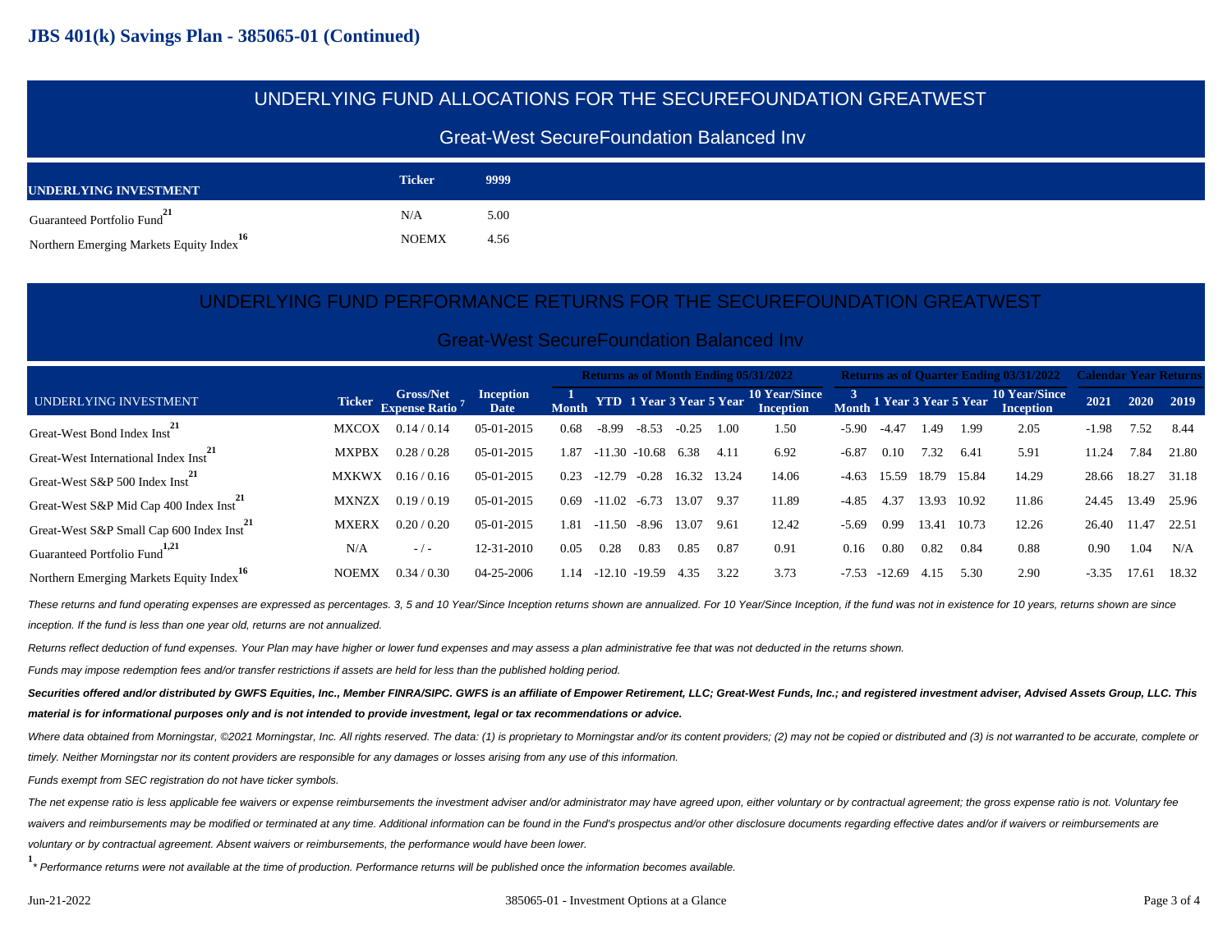### UNDERLYING FUND ALLOCATIONS FOR THE SECUREFOUNDATION GREATWEST

#### Great-West SecureFoundation Balanced Inv

| UNDERLYING INVESTMENT                                | <b>Ticker</b> | 9999 |
|------------------------------------------------------|---------------|------|
| Guaranteed Portfolio Fund <sup>21</sup>              | N/A           | 5.00 |
| Northern Emerging Markets Equity Index <sup>16</sup> | <b>NOEMX</b>  | 4.56 |

#### UNDERLYING FUND PERFORMANCE RETURNS FOR THE SECUREFOUNDATION GREATWEST

#### Great-West SecureFoundation Balanced Inv

|                                                       |              |                                                |                                 | <b>Returns as of Month Ending 05/31/2022</b> |          |                       |             |      |                                                           |         |          |       |       | <b>Returns as of Quarter Ending 03/31/2022 Calendar Year Returns</b> |         |       |           |
|-------------------------------------------------------|--------------|------------------------------------------------|---------------------------------|----------------------------------------------|----------|-----------------------|-------------|------|-----------------------------------------------------------|---------|----------|-------|-------|----------------------------------------------------------------------|---------|-------|-----------|
| UNDERLYING INVESTMENT                                 |              | Ticker Gross/Net<br>Expense Ratio <sup>7</sup> | <b>Inception</b><br><b>Date</b> |                                              |          |                       |             |      | 1 Month YTD 1 Year 3 Year 5 Year <sup>10</sup> Year/Since |         |          |       |       | <sup>3</sup><br>Month 1 Year 3 Year 5 Year <sup>10</sup> Year/Since  | 2021    |       | 2020 2019 |
| Great-West Bond Index Inst <sup>**</sup>              | <b>MXCOX</b> | 0.14/0.14                                      | 05-01-2015                      | 0.68                                         | $-8.99$  | $-8.53$               | $-0.25$     | 1.00 | 1.50                                                      | $-5.90$ | $-4.47$  | 1.49  | 1.99  | 2.05                                                                 | $-1.98$ | 7.52  | 8.44      |
| Great-West International Index Inst <sup>**</sup>     | <b>MXPBX</b> | 0.28/0.28                                      | 05-01-2015                      | 1.87                                         |          | $-11.30 - 10.68$ 6.38 |             | 4.11 | 6.92                                                      | $-6.87$ | 0.10     | 7.32  | 6.41  | 5.91                                                                 | 11.24   | 7.84  | 21.80     |
| Great-West S&P 500 Index Inst <sup>21</sup>           | <b>MXKWX</b> | 0.16/0.16                                      | 05-01-2015                      | 0.23                                         | $-12.79$ | $-0.28$               | 16.32 13.24 |      | 14.06                                                     | $-4.63$ | 15.59    | 18.79 | 15.84 | 14.29                                                                | 28.66   | 18.27 | 31.18     |
| Great-West S&P Mid Cap 400 Index Inst <sup>21</sup>   | <b>MXNZX</b> | 0.19/0.19                                      | $05-01-2015$                    | 0.69                                         | $-11.02$ | $-6.73$ 13.07         |             | 9.37 | 11.89                                                     | $-4.85$ | 4.37     | 13.93 | 10.92 | 11.86                                                                | 24.45   | 13.49 | 25.96     |
| Great-West S&P Small Cap 600 Index Inst <sup>21</sup> | <b>MXERX</b> | 0.20 / 0.20                                    | 05-01-2015                      | 1.81                                         |          | $-11.50 - 8.96$ 13.07 |             | 9.61 | 12.42                                                     | $-5.69$ | 0.99     | 13.41 | 10.73 | 12.26                                                                | 26.40   | 11.47 | 22.51     |
| Guaranteed Portfolio Fund <sup>1,21</sup>             | N/A          | $-1$ $-$                                       | 12-31-2010                      | 0.05                                         | 0.28     | 0.83                  | 0.85        | 0.87 | 0.91                                                      | 0.16    | 0.80     | 0.82  | 0.84  | 0.88                                                                 | 0.90    | 1.04  | N/A       |
| Northern Emerging Markets Equity Index                | <b>NOEMX</b> | 0.34/0.30                                      | 04-25-2006                      | 1.14                                         |          | $-12.10 - 19.59$      | 4.35        | 3.22 | 3.73                                                      | $-7.53$ | $-12.69$ | 4.15  | 5.30  | 2.90                                                                 | $-3.35$ | 17.61 | 18.32     |

These returns and fund operating expenses are expressed as percentages. 3, 5 and 10 Year/Since Inception returns shown are annualized. For 10 Year/Since Inception, if the fund was not in existence for 10 years, returns sho inception. If the fund is less than one year old, returns are not annualized.

Returns reflect deduction of fund expenses. Your Plan may have higher or lower fund expenses and may assess a plan administrative fee that was not deducted in the returns shown.

Funds may impose redemption fees and/or transfer restrictions if assets are held for less than the published holding period.

Securities offered and/or distributed by GWFS Equities, Inc., Member FINRA/SIPC. GWFS is an affiliate of Empower Retirement, LLC; Great-West Funds, Inc.; and registered investment adviser, Advised Assets Group, LLC. This **material is for informational purposes only and is not intended to provide investment, legal or tax recommendations or advice.**

Where data obtained from Morningstar, @2021 Morningstar, Inc. All rights reserved. The data: (1) is proprietary to Morningstar and/or its content providers; (2) may not be copied or distributed and (3) is not warranted to timely. Neither Morningstar nor its content providers are responsible for any damages or losses arising from any use of this information.

Funds exempt from SEC registration do not have ticker symbols.

The net expense ratio is less applicable fee waivers or expense reimbursements the investment adviser and/or administrator may have agreed upon, either voluntary or by contractual agreement; the gross expense ratio is not. waivers and reimbursements may be modified or terminated at any time. Additional information can be found in the Fund's prospectus and/or other disclosure documents regarding effective dates and/or if waivers or reimbursem voluntary or by contractual agreement. Absent waivers or reimbursements, the performance would have been lower.

**1** \* Performance returns were not available at the time of production. Performance returns will be published once the information becomes available.